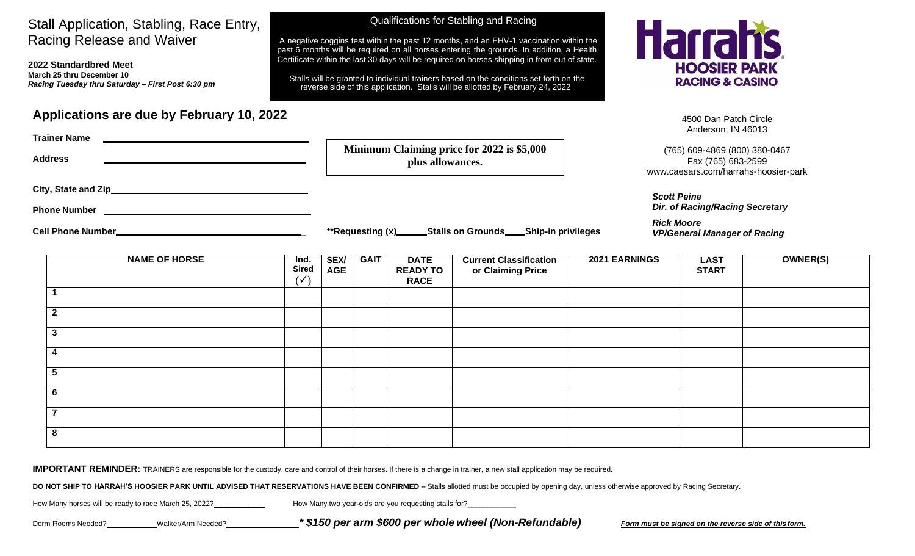## Stall Application, Stabling, Race Entry, Racing Release and Waiver

**2022 Standardbred Meet March 25 thru December 10** *Racing Tuesday thru Saturday – First Post 6:30 pm*

## **Applications are due by February 10, 2022**

A negative coggins test within the past 12 months, and an EHV-1 vaccination within the past 6 months will be required on all horses entering the grounds. In addition, a Health Certificate within the last 30 days will be required on horses shipping in from out of state.

Stalls will be granted to individual trainers based on the conditions set forth on the reverse side of this application. Stalls will be allotted by February 24, 2022

Qualifications for Stabling and Racing



4500 Dan Patch Circle Anderson, IN 46013

)467 Fax (765) 683-2599 sier-park

*Dir. of Racing/Racing Secretary*

*Rick Moore VP/General Manager of Racing*

| <b>Trainer Name</b><br><b>Address</b> | Minimum Claiming price for 2022 is \$5,000<br>plus allowances. | (765) 609-4869 (800) 380-0<br>Fax (765) 683-2599<br>www.caesars.com/harrahs-hoos |  |
|---------------------------------------|----------------------------------------------------------------|----------------------------------------------------------------------------------|--|
| City, State and Zip_                  |                                                                | <b>Scott Peine</b>                                                               |  |
| <b>Phone Number</b>                   |                                                                | <b>Dir. of Racing/Racing Secret</b>                                              |  |
| <b>Cell Phone Number</b>              | _Stalls on Grounds_<br>**Requesting (x)<br>_Ship-in privileges | <b>Rick Moore</b><br><b>VP/General Manager of Racio</b>                          |  |

| <b>NAME OF HORSE</b> | Ind.<br><b>Sired</b><br>$(\checkmark)$ | <b>SEX/</b><br><b>AGE</b> | <b>GAIT</b> | <b>DATE</b><br><b>READY TO</b><br><b>RACE</b> | <b>Current Classification</b><br>or Claiming Price | 2021 EARNINGS | <b>LAST</b><br><b>START</b> | OWNER(S) |
|----------------------|----------------------------------------|---------------------------|-------------|-----------------------------------------------|----------------------------------------------------|---------------|-----------------------------|----------|
|                      |                                        |                           |             |                                               |                                                    |               |                             |          |
| $\overline{2}$       |                                        |                           |             |                                               |                                                    |               |                             |          |
| $\mathbf{3}$         |                                        |                           |             |                                               |                                                    |               |                             |          |
|                      |                                        |                           |             |                                               |                                                    |               |                             |          |
| G                    |                                        |                           |             |                                               |                                                    |               |                             |          |
| $6\phantom{1}6$      |                                        |                           |             |                                               |                                                    |               |                             |          |
| $\overline{ }$       |                                        |                           |             |                                               |                                                    |               |                             |          |
| 8                    |                                        |                           |             |                                               |                                                    |               |                             |          |

**IMPORTANT REMINDER:** TRAINERS are responsible for the custody, care and control of their horses. If there is a change in trainer, a new stall application may be required.

DO NOT SHIP TO HARRAH'S HOOSIER PARK UNTIL ADVISED THAT RESERVATIONS HAVE BEEN CONFIRMED - Stalls allotted must be occupied by opening day, unless otherwise approved by Racing Secretary.

How Many horses will be ready to race March 25, 2022? \_\_\_\_\_\_\_\_\_\_\_\_\_\_\_\_\_\_\_\_ How Many two year-olds are you requesting stalls for?

Dorm Rooms Needed? \_\_\_\_\_\_\_\_\_\_Walker/Arm Needed? \_\_\_\_\_\_\_\_\_\_\_\_\_\_\_\_\* \$150 per arm \$600 per whole wheel (Non-Refundable) Form must be signed on the reverse side of this form.